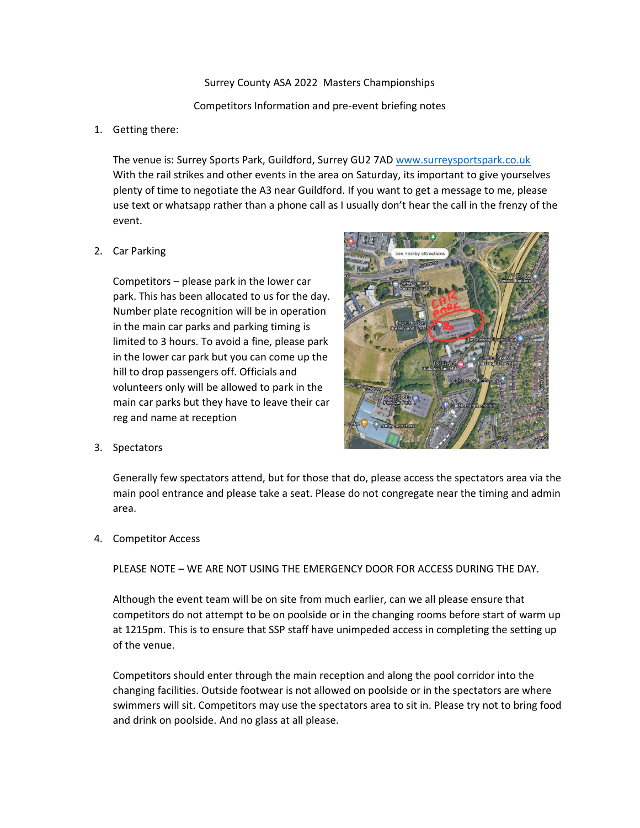Surrey County ASA 2022 Masters Championships

Competitors Information and pre-event briefing notes

1. Getting there:

The venue is: Surrey Sports Park, Guildford, Surrey GU2 7AD [www.surreysportspark.co.uk](http://www.surreysportspark.co.uk/) With the rail strikes and other events in the area on Saturday, its important to give yourselves plenty of time to negotiate the A3 near Guildford. If you want to get a message to me, please use text or whatsapp rather than a phone call as I usually don't hear the call in the frenzy of the event.

2. Car Parking

Competitors – please park in the lower car park. This has been allocated to us for the day. Number plate recognition will be in operation in the main car parks and parking timing is limited to 3 hours. To avoid a fine, please park in the lower car park but you can come up the hill to drop passengers off. Officials and volunteers only will be allowed to park in the main car parks but they have to leave their car reg and name at reception



3. Spectators

Generally few spectators attend, but for those that do, please access the spectators area via the main pool entrance and please take a seat. Please do not congregate near the timing and admin area.

4. Competitor Access

PLEASE NOTE – WE ARE NOT USING THE EMERGENCY DOOR FOR ACCESS DURING THE DAY.

Although the event team will be on site from much earlier, can we all please ensure that competitors do not attempt to be on poolside or in the changing rooms before start of warm up at 1215pm. This is to ensure that SSP staff have unimpeded access in completing the setting up of the venue.

Competitors should enter through the main reception and along the pool corridor into the changing facilities. Outside footwear is not allowed on poolside or in the spectators are where swimmers will sit. Competitors may use the spectators area to sit in. Please try not to bring food and drink on poolside. And no glass at all please.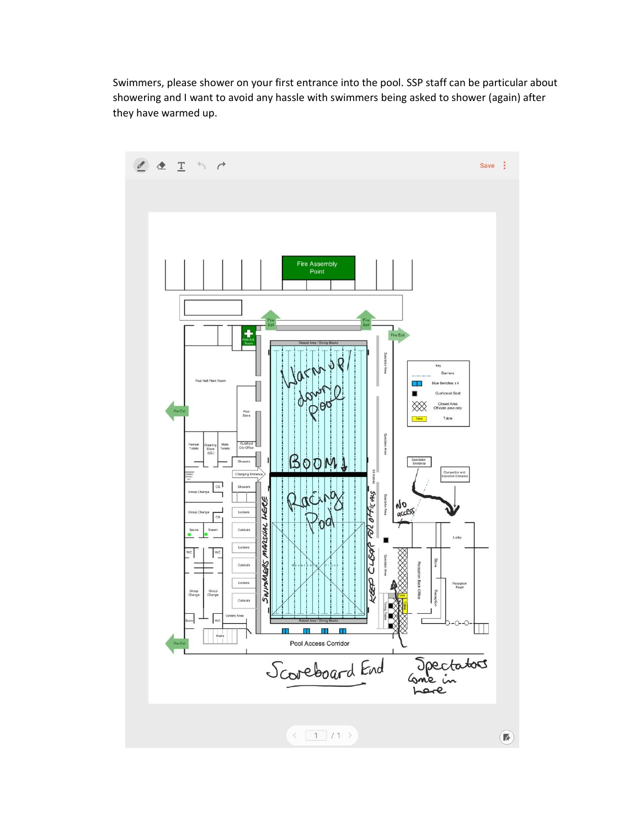Swimmers, please shower on your first entrance into the pool. SSP staff can be particular about showering and I want to avoid any hassle with swimmers being asked to shower (again) after they have warmed up.



 $\bigcirc$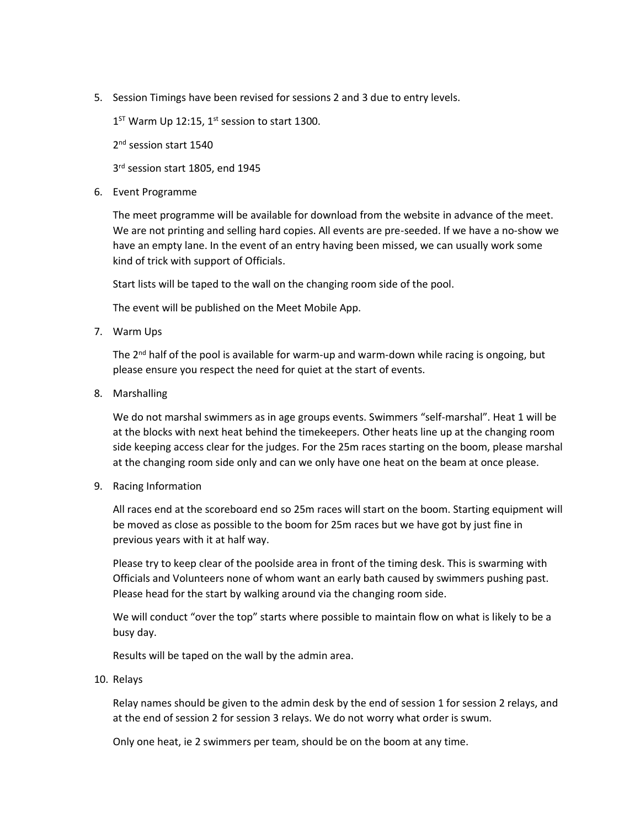5. Session Timings have been revised for sessions 2 and 3 due to entry levels.

 $1<sup>ST</sup>$  Warm Up 12:15, 1<sup>st</sup> session to start 1300.

2<sup>nd</sup> session start 1540

3 rd session start 1805, end 1945

6. Event Programme

The meet programme will be available for download from the website in advance of the meet. We are not printing and selling hard copies. All events are pre-seeded. If we have a no-show we have an empty lane. In the event of an entry having been missed, we can usually work some kind of trick with support of Officials.

Start lists will be taped to the wall on the changing room side of the pool.

The event will be published on the Meet Mobile App.

7. Warm Ups

The  $2^{nd}$  half of the pool is available for warm-up and warm-down while racing is ongoing, but please ensure you respect the need for quiet at the start of events.

8. Marshalling

We do not marshal swimmers as in age groups events. Swimmers "self-marshal". Heat 1 will be at the blocks with next heat behind the timekeepers. Other heats line up at the changing room side keeping access clear for the judges. For the 25m races starting on the boom, please marshal at the changing room side only and can we only have one heat on the beam at once please.

9. Racing Information

All races end at the scoreboard end so 25m races will start on the boom. Starting equipment will be moved as close as possible to the boom for 25m races but we have got by just fine in previous years with it at half way.

Please try to keep clear of the poolside area in front of the timing desk. This is swarming with Officials and Volunteers none of whom want an early bath caused by swimmers pushing past. Please head for the start by walking around via the changing room side.

We will conduct "over the top" starts where possible to maintain flow on what is likely to be a busy day.

Results will be taped on the wall by the admin area.

10. Relays

Relay names should be given to the admin desk by the end of session 1 for session 2 relays, and at the end of session 2 for session 3 relays. We do not worry what order is swum.

Only one heat, ie 2 swimmers per team, should be on the boom at any time.